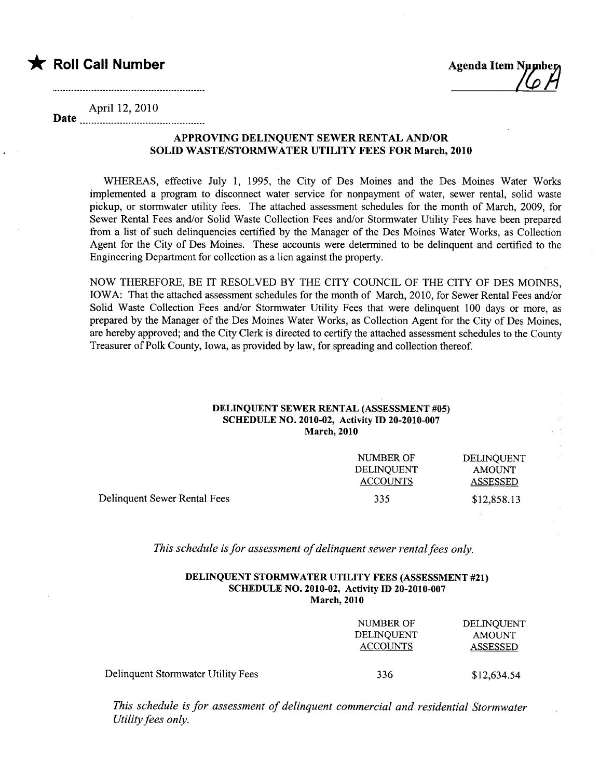## \* Roll Call Number Agenda Item 7µ phps

Date April 12, 2010

#### APPROVING DELINQUENT SEWER RENTAL AND/OR SOLID WASTE/STORMWATER UTILITY FEES FOR March, 2010

WHEREAS, effective July 1, 1995, the City of Des Moines and the Des Moines Water Works implemented a program to disconnect water service for nonpayment of water, sewer rental, solid waste pickup, or stormwater utility fees. The attached assessment schedules for the month of March, 2009, for Sewer Rental Fees and/or Solid Waste Collection Fees and/or Stormwater Utility Fees have been prepared from a list of such delinquencies certified by the Manager of the Des Moines Water Works, as Collection Agent for the City of Des Moines. These accounts were determned to be delinquent and certified to the Engineering Department for collection as a lien against the property.

NOW THEREFORE, BE IT RESOLVED BY THE CITY COUNCIL OF THE CITY OF DES MOINES, IOWA: That the attached assessment schedules for the month of March, 2010, for Sewer Rental Fees and/or Solid Waste Collection Fees and/or Stormwater Utilty Fees that were delinquent 100 days or more, as prepared by the Manager of the Des Moines Water Works, as Collection Agent for the City of Des Moines, are hereby approved; and the City Clerk is directed to certify the attached assessment schedules to the County Treasurer of Polk County, Iowa, as provided by law, for spreading and collection thereof.

#### DELINQUENT SEWER RENTAL (ASSESSMENT #05) SCHEDULE NO. 2010-02, Activity ID 20-2010-007 March, 2010

|                              | NUMBER OF       | DELINOUENT    |
|------------------------------|-----------------|---------------|
|                              | DELINOUENT      | <b>AMOUNT</b> |
|                              | <b>ACCOUNTS</b> | ASSESSED      |
| Delinquent Sewer Rental Fees | 335             | \$12,858.13   |

This schedule is for assessment of delinquent sewer rental fees only.

#### DELINQUENT STORMWATER UTILITY FEES (ASSESSMENT #21) SCHEDULE NO. 2010-02, Activity ID 20-2010-007 March, 2010

|                                    | NUMBER OF<br>DELINOUENT<br><b>ACCOUNTS</b> | DELINOUENT<br><b>AMOUNT</b><br><b>ASSESSED</b> |
|------------------------------------|--------------------------------------------|------------------------------------------------|
| Delinquent Stormwater Utility Fees | 336                                        | \$12,634.54                                    |

This schedule is for assessment of delinquent commercial and residential Stormwater Utility fees only.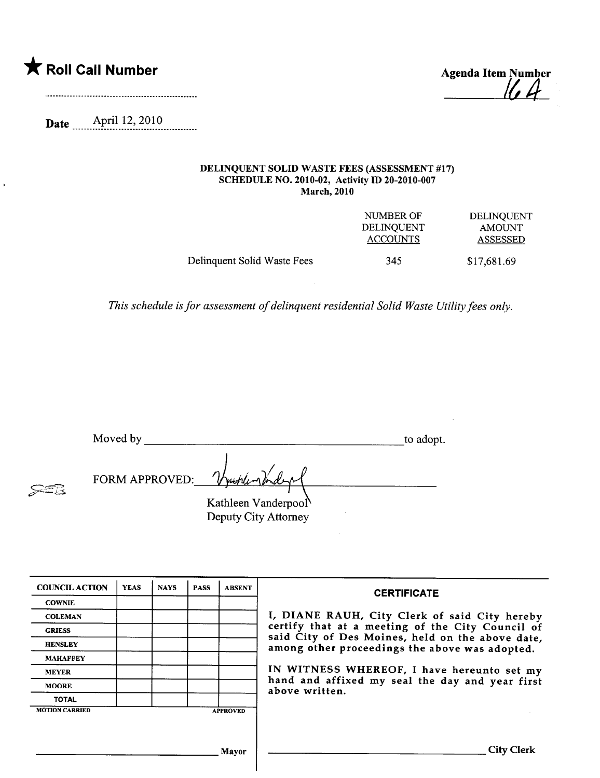

 $\cancel{\mathcal{Z}}$  2

 $\bar{1}$ 

 $\mathcal{U}$ .  $\mathcal{A}$ 

**Date** April 12, 2010 . . . . . . . . .

#### DELINQUENT SOLID WASTE FEES (ASSESSMENT #17) SCHEDULE NO. 2010-02, Activity ID 20-2010-007 March, 2010

|                             | NUMBER OF<br><b>DELINOUENT</b><br><b>ACCOUNTS</b> | <b>DELINQUENT</b><br>AMOUNT<br>ASSESSED |
|-----------------------------|---------------------------------------------------|-----------------------------------------|
| Delinquent Solid Waste Fees | 345                                               | \$17,681.69                             |

This schedule is for assessment of delinquent residential Solid Waste Utilty fees only.

| Moved by              |                          | to adopt. |
|-----------------------|--------------------------|-----------|
| <b>FORM APPROVED:</b> | Hushley Vindert<br>TE 11 |           |

Kathleen Vanderpool Deputy City Attorney

| <b>COUNCIL ACTION</b> | <b>YEAS</b> | <b>NAYS</b> | <b>PASS</b> | <b>ABSENT</b>   | <b>CERTIFICATE</b>                                                                                 |  |  |
|-----------------------|-------------|-------------|-------------|-----------------|----------------------------------------------------------------------------------------------------|--|--|
| <b>COWNIE</b>         |             |             |             |                 |                                                                                                    |  |  |
| <b>COLEMAN</b>        |             |             |             |                 | I, DIANE RAUH, City Clerk of said City hereby                                                      |  |  |
| <b>GRIESS</b>         |             |             |             |                 | certify that at a meeting of the City Council of                                                   |  |  |
| <b>HENSLEY</b>        |             |             |             |                 | said City of Des Moines, held on the above date,<br>among other proceedings the above was adopted. |  |  |
| <b>MAHAFFEY</b>       |             |             |             |                 |                                                                                                    |  |  |
| <b>MEYER</b>          |             |             |             |                 | IN WITNESS WHEREOF, I have hereunto set my                                                         |  |  |
| <b>MOORE</b>          |             |             |             |                 | hand and affixed my seal the day and year first<br>above written.                                  |  |  |
| <b>TOTAL</b>          |             |             |             |                 |                                                                                                    |  |  |
| <b>MOTION CARRIED</b> |             |             |             | <b>APPROVED</b> |                                                                                                    |  |  |
|                       |             |             |             |                 |                                                                                                    |  |  |
|                       |             |             |             |                 |                                                                                                    |  |  |
|                       |             |             |             | Mayor           | <b>City Clerk</b>                                                                                  |  |  |